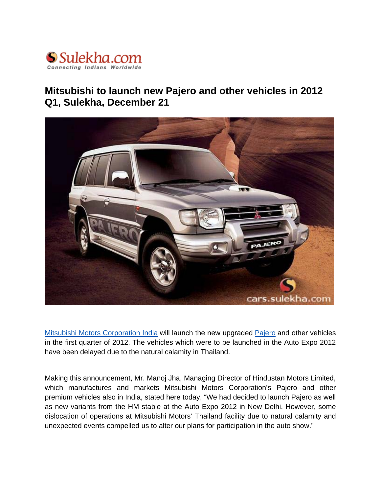

## **Mitsubishi to launch new Pajero and other vehicles in 2012 Q1, Sulekha, December 21**



[Mitsubishi Motors Corporation India](http://cars.sulekha.com/mitsubishi-cars) will launch the new upgraded [Pajero](http://cars.sulekha.com/mitsubishi-pajero-car) and other vehicles in the first quarter of 2012. The vehicles which were to be launched in the Auto Expo 2012 have been delayed due to the natural calamity in Thailand.

Making this announcement, Mr. Manoj Jha, Managing Director of Hindustan Motors Limited, which manufactures and markets Mitsubishi Motors Corporation's Pajero and other premium vehicles also in India, stated here today, "We had decided to launch Pajero as well as new variants from the HM stable at the Auto Expo 2012 in New Delhi. However, some dislocation of operations at Mitsubishi Motors' Thailand facility due to natural calamity and unexpected events compelled us to alter our plans for participation in the auto show."